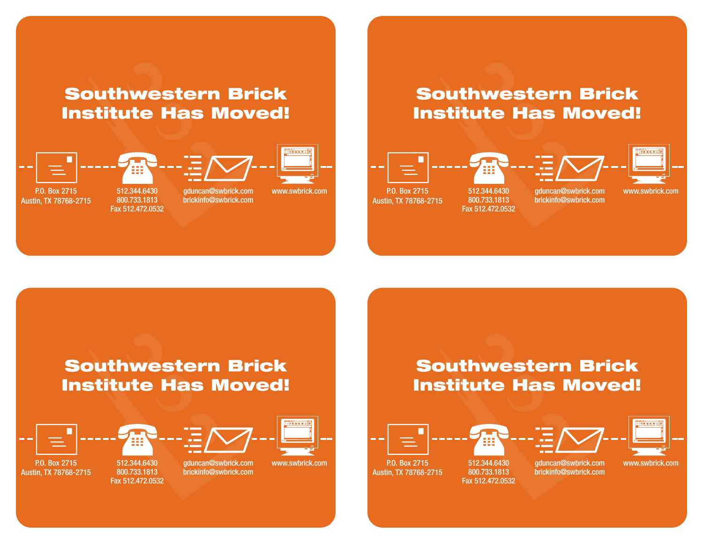## **Southwestern Brick Institute Has Moved!**



P.O. Box 2715 Austin, TX 78768-2715

512.344.6430 800.733.1813 Fax 512.472.0532

gduncan@swbrick.com brickinfo@swbrick.com



www.swbrick.com